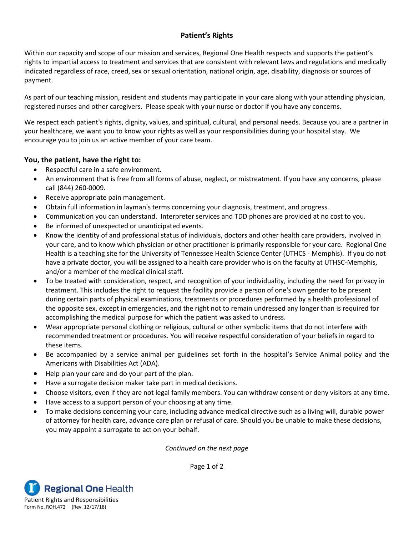## **Patient's Rights**

Within our capacity and scope of our mission and services, Regional One Health respects and supports the patient's rights to impartial access to treatment and services that are consistent with relevant laws and regulations and medically indicated regardless of race, creed, sex or sexual orientation, national origin, age, disability, diagnosis or sources of payment.

As part of our teaching mission, resident and students may participate in your care along with your attending physician, registered nurses and other caregivers. Please speak with your nurse or doctor if you have any concerns.

We respect each patient's rights, dignity, values, and spiritual, cultural, and personal needs. Because you are a partner in your healthcare, we want you to know your rights as well as your responsibilities during your hospital stay. We encourage you to join us an active member of your care team.

## **You, the patient, have the right to:**

- Respectful care in a safe environment.
- An environment that is free from all forms of abuse, neglect, or mistreatment. If you have any concerns, please call (844) 260-0009.
- Receive appropriate pain management.
- Obtain full information in layman's terms concerning your diagnosis, treatment, and progress.
- Communication you can understand. Interpreter services and TDD phones are provided at no cost to you.
- Be informed of unexpected or unanticipated events.
- Know the identity of and professional status of individuals, doctors and other health care providers, involved in your care, and to know which physician or other practitioner is primarily responsible for your care. Regional One Health is a teaching site for the University of Tennessee Health Science Center (UTHCS - Memphis). If you do not have a private doctor, you will be assigned to a health care provider who is on the faculty at UTHSC-Memphis, and/or a member of the medical clinical staff.
- To be treated with consideration, respect, and recognition of your individuality, including the need for privacy in treatment. This includes the right to request the facility provide a person of one's own gender to be present during certain parts of physical examinations, treatments or procedures performed by a health professional of the opposite sex, except in emergencies, and the right not to remain undressed any longer than is required for accomplishing the medical purpose for which the patient was asked to undress.
- Wear appropriate personal clothing or religious, cultural or other symbolic items that do not interfere with recommended treatment or procedures. You will receive respectful consideration of your beliefs in regard to these items.
- Be accompanied by a service animal per guidelines set forth in the hospital's Service Animal policy and the Americans with Disabilities Act (ADA).
- Help plan your care and do your part of the plan.
- Have a surrogate decision maker take part in medical decisions.
- Choose visitors, even if they are not legal family members. You can withdraw consent or deny visitors at any time.
- Have access to a support person of your choosing at any time.
- To make decisions concerning your care, including advance medical directive such as a living will, durable power of attorney for health care, advance care plan or refusal of care. Should you be unable to make these decisions, you may appoint a surrogate to act on your behalf.

*Continued on the next page*

Page 1 of 2